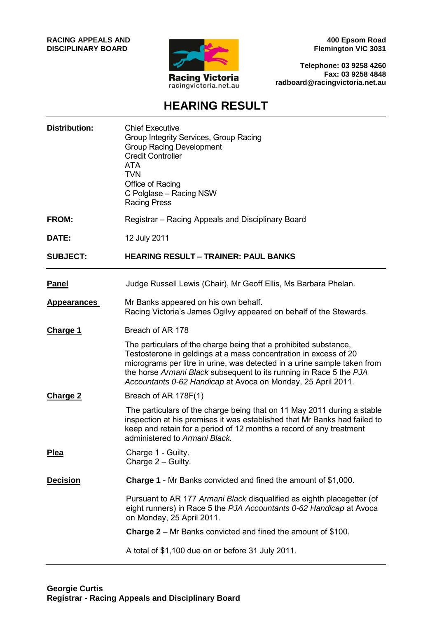**RACING APPEALS AND DISCIPLINARY BOARD**



**400 Epsom Road Flemington VIC 3031**

**Telephone: 03 9258 4260 Fax: 03 9258 4848 radboard@racingvictoria.net.au**

# **HEARING RESULT**

| <b>Distribution:</b> | <b>Chief Executive</b><br>Group Integrity Services, Group Racing<br><b>Group Racing Development</b><br><b>Credit Controller</b><br><b>ATA</b><br><b>TVN</b><br>Office of Racing<br>C Polglase - Racing NSW<br><b>Racing Press</b>                                                                                                                      |
|----------------------|--------------------------------------------------------------------------------------------------------------------------------------------------------------------------------------------------------------------------------------------------------------------------------------------------------------------------------------------------------|
| <b>FROM:</b>         | Registrar – Racing Appeals and Disciplinary Board                                                                                                                                                                                                                                                                                                      |
| DATE:                | 12 July 2011                                                                                                                                                                                                                                                                                                                                           |
| <b>SUBJECT:</b>      | <b>HEARING RESULT - TRAINER: PAUL BANKS</b>                                                                                                                                                                                                                                                                                                            |
| <b>Panel</b>         | Judge Russell Lewis (Chair), Mr Geoff Ellis, Ms Barbara Phelan.                                                                                                                                                                                                                                                                                        |
| <b>Appearances</b>   | Mr Banks appeared on his own behalf.<br>Racing Victoria's James Ogilvy appeared on behalf of the Stewards.                                                                                                                                                                                                                                             |
| <b>Charge 1</b>      | Breach of AR 178                                                                                                                                                                                                                                                                                                                                       |
|                      | The particulars of the charge being that a prohibited substance,<br>Testosterone in geldings at a mass concentration in excess of 20<br>micrograms per litre in urine, was detected in a urine sample taken from<br>the horse Armani Black subsequent to its running in Race 5 the PJA<br>Accountants 0-62 Handicap at Avoca on Monday, 25 April 2011. |
| <b>Charge 2</b>      | Breach of AR 178F(1)                                                                                                                                                                                                                                                                                                                                   |
|                      | The particulars of the charge being that on 11 May 2011 during a stable<br>inspection at his premises it was established that Mr Banks had failed to<br>keep and retain for a period of 12 months a record of any treatment<br>administered to Armani Black.                                                                                           |
| <b>Plea</b>          | Charge 1 - Guilty.<br>Charge $2 -$ Guilty.                                                                                                                                                                                                                                                                                                             |
| <b>Decision</b>      | <b>Charge 1</b> - Mr Banks convicted and fined the amount of \$1,000.                                                                                                                                                                                                                                                                                  |
|                      | Pursuant to AR 177 Armani Black disqualified as eighth placegetter (of<br>eight runners) in Race 5 the PJA Accountants 0-62 Handicap at Avoca<br>on Monday, 25 April 2011.                                                                                                                                                                             |
|                      | <b>Charge 2</b> – Mr Banks convicted and fined the amount of \$100.                                                                                                                                                                                                                                                                                    |
|                      | A total of \$1,100 due on or before 31 July 2011.                                                                                                                                                                                                                                                                                                      |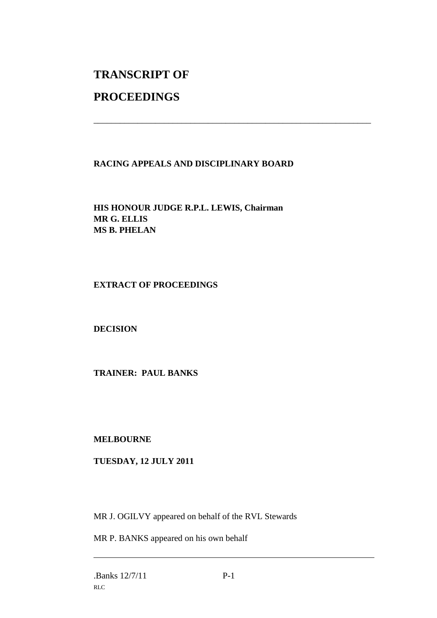# **TRANSCRIPT OF**

## **PROCEEDINGS**

## **RACING APPEALS AND DISCIPLINARY BOARD**

\_\_\_\_\_\_\_\_\_\_\_\_\_\_\_\_\_\_\_\_\_\_\_\_\_\_\_\_\_\_\_\_\_\_\_\_\_\_\_\_\_\_\_\_\_\_\_\_\_\_\_\_\_\_\_\_\_\_\_\_\_\_\_

**HIS HONOUR JUDGE R.P.L. LEWIS, Chairman MR G. ELLIS MS B. PHELAN**

### **EXTRACT OF PROCEEDINGS**

### **DECISION**

### **TRAINER: PAUL BANKS**

#### **MELBOURNE**

### **TUESDAY, 12 JULY 2011**

MR J. OGILVY appeared on behalf of the RVL Stewards

MR P. BANKS appeared on his own behalf